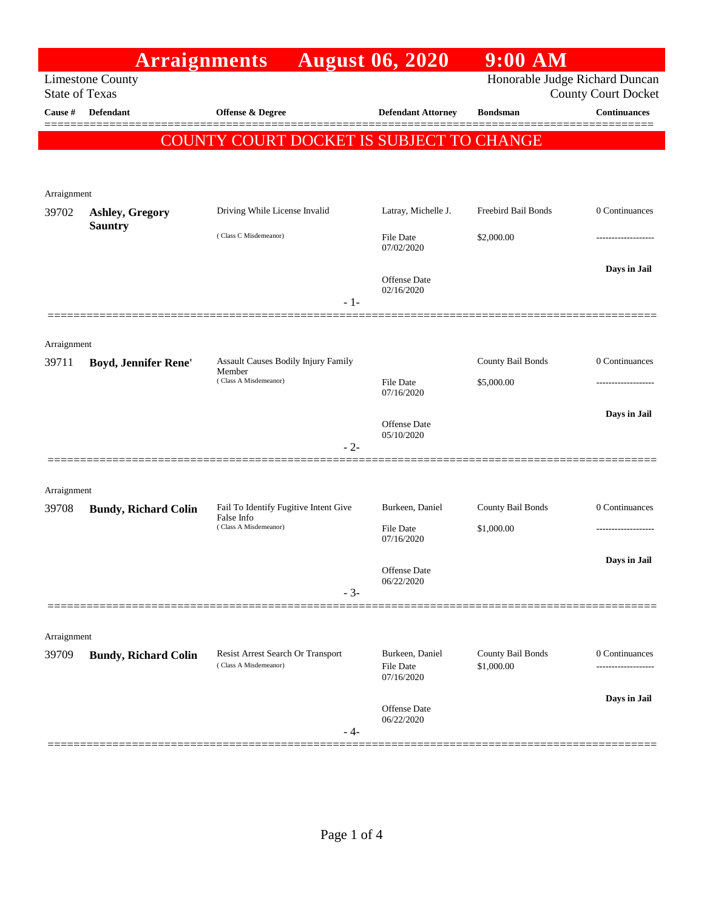| <b>Limestone County</b><br><b>State of Texas</b><br>Offense & Degree<br><b>Continuances</b><br>Cause #<br><b>Defendant</b><br><b>Defendant Attorney</b><br><b>Bondsman</b><br>=======<br>COUNTY COURT DOCKET IS SUBJECT TO CHANGE<br>Arraignment<br>Freebird Bail Bonds<br>Driving While License Invalid<br>Latray, Michelle J.<br>39702<br>Ashley, Gregory<br><b>Sauntry</b><br>(Class C Misdemeanor)<br>\$2,000.00<br><b>File Date</b><br>07/02/2020<br><b>Offense</b> Date<br>02/16/2020<br>$-1-$<br>Arraignment<br>County Bail Bonds<br>Assault Causes Bodily Injury Family<br>39711<br><b>Boyd, Jennifer Rene'</b><br>Member<br>(Class A Misdemeanor)<br>File Date<br>\$5,000.00<br>07/16/2020<br><b>Offense</b> Date<br>05/10/2020<br>$-2-$<br>Arraignment<br>County Bail Bonds<br>Fail To Identify Fugitive Intent Give<br>Burkeen, Daniel<br>39708<br><b>Bundy, Richard Colin</b><br>False Info<br>(Class A Misdemeanor)<br>\$1,000.00<br>File Date<br>07/16/2020<br>Offense Date<br>06/22/2020<br>$-3-$<br>Arraignment<br>County Bail Bonds<br><b>Resist Arrest Search Or Transport</b><br>Burkeen, Daniel<br>39709<br><b>Bundy, Richard Colin</b><br>(Class A Misdemeanor)<br><b>File Date</b><br>\$1,000.00<br>07/16/2020<br>Offense Date<br>06/22/2020<br>- 4- |  | <b>Arraignments</b> |  | <b>August 06, 2020</b> | $9:00$ AM                                                    |                   |
|----------------------------------------------------------------------------------------------------------------------------------------------------------------------------------------------------------------------------------------------------------------------------------------------------------------------------------------------------------------------------------------------------------------------------------------------------------------------------------------------------------------------------------------------------------------------------------------------------------------------------------------------------------------------------------------------------------------------------------------------------------------------------------------------------------------------------------------------------------------------------------------------------------------------------------------------------------------------------------------------------------------------------------------------------------------------------------------------------------------------------------------------------------------------------------------------------------------------------------------------------------------------------|--|---------------------|--|------------------------|--------------------------------------------------------------|-------------------|
|                                                                                                                                                                                                                                                                                                                                                                                                                                                                                                                                                                                                                                                                                                                                                                                                                                                                                                                                                                                                                                                                                                                                                                                                                                                                            |  |                     |  |                        | Honorable Judge Richard Duncan<br><b>County Court Docket</b> |                   |
|                                                                                                                                                                                                                                                                                                                                                                                                                                                                                                                                                                                                                                                                                                                                                                                                                                                                                                                                                                                                                                                                                                                                                                                                                                                                            |  |                     |  |                        |                                                              |                   |
|                                                                                                                                                                                                                                                                                                                                                                                                                                                                                                                                                                                                                                                                                                                                                                                                                                                                                                                                                                                                                                                                                                                                                                                                                                                                            |  |                     |  |                        |                                                              |                   |
|                                                                                                                                                                                                                                                                                                                                                                                                                                                                                                                                                                                                                                                                                                                                                                                                                                                                                                                                                                                                                                                                                                                                                                                                                                                                            |  |                     |  |                        |                                                              |                   |
|                                                                                                                                                                                                                                                                                                                                                                                                                                                                                                                                                                                                                                                                                                                                                                                                                                                                                                                                                                                                                                                                                                                                                                                                                                                                            |  |                     |  |                        |                                                              |                   |
|                                                                                                                                                                                                                                                                                                                                                                                                                                                                                                                                                                                                                                                                                                                                                                                                                                                                                                                                                                                                                                                                                                                                                                                                                                                                            |  |                     |  |                        |                                                              | 0 Continuances    |
|                                                                                                                                                                                                                                                                                                                                                                                                                                                                                                                                                                                                                                                                                                                                                                                                                                                                                                                                                                                                                                                                                                                                                                                                                                                                            |  |                     |  |                        |                                                              |                   |
|                                                                                                                                                                                                                                                                                                                                                                                                                                                                                                                                                                                                                                                                                                                                                                                                                                                                                                                                                                                                                                                                                                                                                                                                                                                                            |  |                     |  |                        |                                                              | Days in Jail      |
|                                                                                                                                                                                                                                                                                                                                                                                                                                                                                                                                                                                                                                                                                                                                                                                                                                                                                                                                                                                                                                                                                                                                                                                                                                                                            |  |                     |  |                        |                                                              |                   |
|                                                                                                                                                                                                                                                                                                                                                                                                                                                                                                                                                                                                                                                                                                                                                                                                                                                                                                                                                                                                                                                                                                                                                                                                                                                                            |  |                     |  |                        |                                                              | 0 Continuances    |
|                                                                                                                                                                                                                                                                                                                                                                                                                                                                                                                                                                                                                                                                                                                                                                                                                                                                                                                                                                                                                                                                                                                                                                                                                                                                            |  |                     |  |                        |                                                              |                   |
|                                                                                                                                                                                                                                                                                                                                                                                                                                                                                                                                                                                                                                                                                                                                                                                                                                                                                                                                                                                                                                                                                                                                                                                                                                                                            |  |                     |  |                        |                                                              | Days in Jail      |
|                                                                                                                                                                                                                                                                                                                                                                                                                                                                                                                                                                                                                                                                                                                                                                                                                                                                                                                                                                                                                                                                                                                                                                                                                                                                            |  |                     |  |                        |                                                              |                   |
|                                                                                                                                                                                                                                                                                                                                                                                                                                                                                                                                                                                                                                                                                                                                                                                                                                                                                                                                                                                                                                                                                                                                                                                                                                                                            |  |                     |  |                        |                                                              |                   |
|                                                                                                                                                                                                                                                                                                                                                                                                                                                                                                                                                                                                                                                                                                                                                                                                                                                                                                                                                                                                                                                                                                                                                                                                                                                                            |  |                     |  |                        |                                                              |                   |
|                                                                                                                                                                                                                                                                                                                                                                                                                                                                                                                                                                                                                                                                                                                                                                                                                                                                                                                                                                                                                                                                                                                                                                                                                                                                            |  |                     |  |                        |                                                              | 0 Continuances    |
|                                                                                                                                                                                                                                                                                                                                                                                                                                                                                                                                                                                                                                                                                                                                                                                                                                                                                                                                                                                                                                                                                                                                                                                                                                                                            |  |                     |  |                        |                                                              | ----------------- |
|                                                                                                                                                                                                                                                                                                                                                                                                                                                                                                                                                                                                                                                                                                                                                                                                                                                                                                                                                                                                                                                                                                                                                                                                                                                                            |  |                     |  |                        |                                                              | Days in Jail      |
|                                                                                                                                                                                                                                                                                                                                                                                                                                                                                                                                                                                                                                                                                                                                                                                                                                                                                                                                                                                                                                                                                                                                                                                                                                                                            |  |                     |  |                        |                                                              |                   |
|                                                                                                                                                                                                                                                                                                                                                                                                                                                                                                                                                                                                                                                                                                                                                                                                                                                                                                                                                                                                                                                                                                                                                                                                                                                                            |  |                     |  |                        |                                                              |                   |
|                                                                                                                                                                                                                                                                                                                                                                                                                                                                                                                                                                                                                                                                                                                                                                                                                                                                                                                                                                                                                                                                                                                                                                                                                                                                            |  |                     |  |                        |                                                              | 0 Continuances    |
|                                                                                                                                                                                                                                                                                                                                                                                                                                                                                                                                                                                                                                                                                                                                                                                                                                                                                                                                                                                                                                                                                                                                                                                                                                                                            |  |                     |  |                        |                                                              |                   |
|                                                                                                                                                                                                                                                                                                                                                                                                                                                                                                                                                                                                                                                                                                                                                                                                                                                                                                                                                                                                                                                                                                                                                                                                                                                                            |  |                     |  |                        |                                                              | Days in Jail      |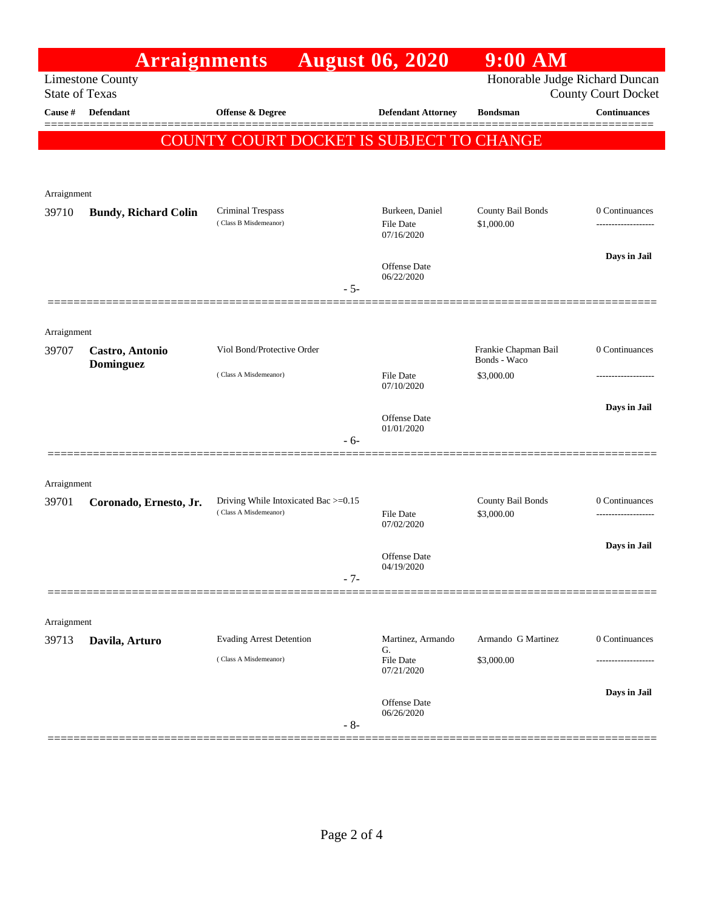|                                                                                                                  | <b>Arraignments</b>         |                                                               | <b>August 06, 2020</b>              | $9:00$ AM                            |                                     |
|------------------------------------------------------------------------------------------------------------------|-----------------------------|---------------------------------------------------------------|-------------------------------------|--------------------------------------|-------------------------------------|
| Honorable Judge Richard Duncan<br><b>Limestone County</b><br><b>State of Texas</b><br><b>County Court Docket</b> |                             |                                                               |                                     |                                      |                                     |
| Cause #                                                                                                          | Defendant                   | Offense & Degree                                              | <b>Defendant Attorney</b>           | <b>Bondsman</b>                      | <b>Continuances</b>                 |
|                                                                                                                  |                             |                                                               |                                     |                                      |                                     |
|                                                                                                                  |                             | COUNTY COURT DOCKET IS SUBJECT TO CHANGE                      |                                     |                                      |                                     |
|                                                                                                                  |                             |                                                               |                                     |                                      |                                     |
| Arraignment                                                                                                      |                             |                                                               |                                     |                                      |                                     |
| 39710                                                                                                            | <b>Bundy, Richard Colin</b> | Criminal Trespass<br>(Class B Misdemeanor)                    | Burkeen, Daniel<br><b>File Date</b> | County Bail Bonds<br>\$1,000.00      | 0 Continuances<br>----------------- |
|                                                                                                                  |                             |                                                               | 07/16/2020                          |                                      |                                     |
|                                                                                                                  |                             |                                                               | <b>Offense Date</b>                 |                                      | Days in Jail                        |
|                                                                                                                  |                             |                                                               | 06/22/2020<br>$-5-$                 |                                      |                                     |
|                                                                                                                  |                             |                                                               |                                     |                                      |                                     |
| Arraignment                                                                                                      |                             |                                                               |                                     |                                      |                                     |
| 39707                                                                                                            | Castro, Antonio             | Viol Bond/Protective Order                                    |                                     | Frankie Chapman Bail<br>Bonds - Waco | 0 Continuances                      |
|                                                                                                                  | <b>Dominguez</b>            | (Class A Misdemeanor)                                         | <b>File Date</b>                    | \$3,000.00                           |                                     |
|                                                                                                                  |                             |                                                               | 07/10/2020                          |                                      |                                     |
|                                                                                                                  |                             |                                                               | <b>Offense</b> Date<br>01/01/2020   |                                      | Days in Jail                        |
|                                                                                                                  |                             |                                                               | $-6-$                               |                                      |                                     |
|                                                                                                                  |                             |                                                               |                                     |                                      |                                     |
| Arraignment                                                                                                      |                             |                                                               |                                     |                                      |                                     |
| 39701                                                                                                            | Coronado, Ernesto, Jr.      | Driving While Intoxicated Bac >=0.15<br>(Class A Misdemeanor) | <b>File Date</b>                    | County Bail Bonds<br>\$3,000.00      | 0 Continuances                      |
|                                                                                                                  |                             |                                                               | 07/02/2020                          |                                      |                                     |
|                                                                                                                  |                             |                                                               | <b>Offense Date</b>                 |                                      | Days in Jail                        |
|                                                                                                                  |                             |                                                               | 04/19/2020<br>$-7-$                 |                                      |                                     |
|                                                                                                                  |                             |                                                               |                                     |                                      |                                     |
| Arraignment                                                                                                      |                             |                                                               |                                     |                                      |                                     |
| 39713                                                                                                            | Davila, Arturo              | <b>Evading Arrest Detention</b>                               | Martinez, Armando<br>G.             | Armando G Martinez                   | 0 Continuances                      |
|                                                                                                                  |                             | (Class A Misdemeanor)                                         | <b>File Date</b><br>07/21/2020      | \$3,000.00                           |                                     |
|                                                                                                                  |                             |                                                               |                                     |                                      | Days in Jail                        |
|                                                                                                                  |                             |                                                               | <b>Offense</b> Date<br>06/26/2020   |                                      |                                     |
|                                                                                                                  |                             |                                                               | $-8-$                               |                                      |                                     |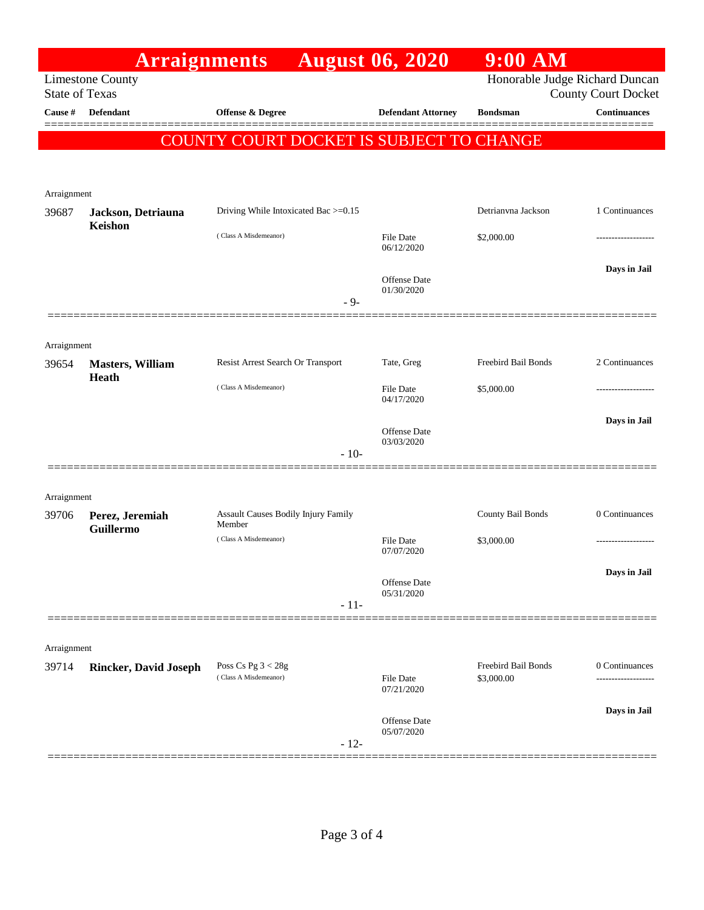|                                                  | <b>Arraignments</b>          |                                               | <b>August 06, 2020</b>                                       | $9:00$ AM                         |                                     |
|--------------------------------------------------|------------------------------|-----------------------------------------------|--------------------------------------------------------------|-----------------------------------|-------------------------------------|
| <b>Limestone County</b><br><b>State of Texas</b> |                              |                                               | Honorable Judge Richard Duncan<br><b>County Court Docket</b> |                                   |                                     |
| Cause #                                          | <b>Defendant</b>             | <b>Offense &amp; Degree</b>                   | <b>Defendant Attorney</b>                                    | <b>Bondsman</b>                   | <b>Continuances</b><br>=======      |
|                                                  |                              | COUNTY COURT DOCKET IS SUBJECT TO CHANGE      |                                                              |                                   |                                     |
|                                                  |                              |                                               |                                                              |                                   |                                     |
|                                                  |                              |                                               |                                                              |                                   |                                     |
| Arraignment<br>39687                             | Jackson, Detriauna           | Driving While Intoxicated Bac >=0.15          |                                                              | Detrianvna Jackson                | 1 Continuances                      |
|                                                  | Keishon                      | (Class A Misdemeanor)                         | <b>File Date</b>                                             | \$2,000.00                        |                                     |
|                                                  |                              |                                               | 06/12/2020                                                   |                                   |                                     |
|                                                  |                              |                                               | <b>Offense Date</b>                                          |                                   | Days in Jail                        |
|                                                  |                              | $-9-$                                         | 01/30/2020                                                   |                                   |                                     |
|                                                  |                              |                                               |                                                              |                                   |                                     |
| Arraignment                                      |                              |                                               |                                                              |                                   |                                     |
| 39654                                            | <b>Masters, William</b>      | Resist Arrest Search Or Transport             | Tate, Greg                                                   | Freebird Bail Bonds               | 2 Continuances                      |
|                                                  | Heath                        | (Class A Misdemeanor)                         | <b>File Date</b>                                             | \$5,000.00                        |                                     |
|                                                  |                              |                                               | 04/17/2020                                                   |                                   |                                     |
|                                                  |                              |                                               | <b>Offense Date</b>                                          |                                   | Days in Jail                        |
|                                                  |                              | $-10-$                                        | 03/03/2020                                                   |                                   |                                     |
|                                                  |                              |                                               |                                                              |                                   |                                     |
| Arraignment                                      |                              |                                               |                                                              |                                   |                                     |
| 39706                                            | Perez, Jeremiah              | Assault Causes Bodily Injury Family<br>Member |                                                              | County Bail Bonds                 | 0 Continuances                      |
|                                                  | Guillermo                    | (Class A Misdemeanor)                         | File Date                                                    | \$3,000.00                        | ----------------                    |
|                                                  |                              |                                               | 07/07/2020                                                   |                                   |                                     |
|                                                  |                              |                                               | Offense Date<br>05/31/2020                                   |                                   | Days in Jail                        |
|                                                  |                              | $-11-$                                        |                                                              |                                   |                                     |
|                                                  |                              |                                               |                                                              |                                   |                                     |
| Arraignment                                      |                              |                                               |                                                              |                                   |                                     |
| 39714                                            | <b>Rincker, David Joseph</b> | Poss Cs Pg $3 < 28g$<br>(Class A Misdemeanor) | <b>File Date</b>                                             | Freebird Bail Bonds<br>\$3,000.00 | 0 Continuances<br>----------------- |
|                                                  |                              |                                               | 07/21/2020                                                   |                                   |                                     |
|                                                  |                              |                                               | <b>Offense Date</b>                                          |                                   | Days in Jail                        |
|                                                  |                              | $-12-$                                        | 05/07/2020                                                   |                                   |                                     |
|                                                  |                              |                                               |                                                              |                                   |                                     |